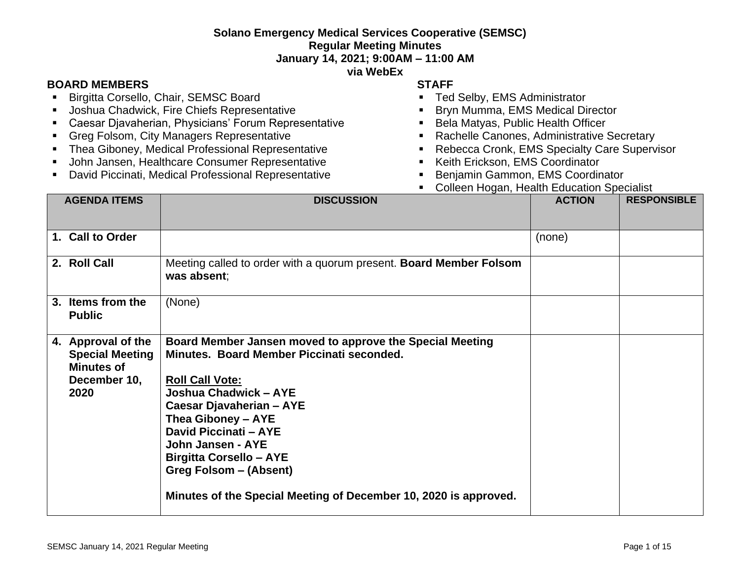## **Solano Emergency Medical Services Cooperative (SEMSC) Regular Meeting Minutes**

**January 14, 2021; 9:00AM – 11:00 AM**

**via WebEx**

## **BOARD MEMBERS STAFF**

- **E** Birgitta Corsello, Chair, SEMSC Board
- Joshua Chadwick, Fire Chiefs Representative
- Caesar Djavaherian, Physicians' Forum Representative
- Greg Folsom, City Managers Representative
- **EXECT:** Thea Giboney, Medical Professional Representative
- John Jansen, Healthcare Consumer Representative
- David Piccinati, Medical Professional Representative
- 
- Ted Selby, EMS Administrator
- Bryn Mumma, EMS Medical Director
- Bela Matyas, Public Health Officer
- Rachelle Canones, Administrative Secretary
- Rebecca Cronk, EMS Specialty Care Supervisor
- Keith Erickson, EMS Coordinator
- Benjamin Gammon, EMS Coordinator
- Colleen Hogan, Health Education Specialist

| <b>AGENDA ITEMS</b>                                                                       | <b>DISCUSSION</b>                                                                                                                                                                                                                                                                                                                                                                               | <b>ACTION</b> | <b>RESPONSIBLE</b> |
|-------------------------------------------------------------------------------------------|-------------------------------------------------------------------------------------------------------------------------------------------------------------------------------------------------------------------------------------------------------------------------------------------------------------------------------------------------------------------------------------------------|---------------|--------------------|
|                                                                                           |                                                                                                                                                                                                                                                                                                                                                                                                 |               |                    |
| 1. Call to Order                                                                          |                                                                                                                                                                                                                                                                                                                                                                                                 | (none)        |                    |
| 2. Roll Call                                                                              | Meeting called to order with a quorum present. Board Member Folsom<br>was absent:                                                                                                                                                                                                                                                                                                               |               |                    |
| 3. Items from the<br><b>Public</b>                                                        | (None)                                                                                                                                                                                                                                                                                                                                                                                          |               |                    |
| 4. Approval of the<br><b>Special Meeting</b><br><b>Minutes of</b><br>December 10,<br>2020 | Board Member Jansen moved to approve the Special Meeting<br>Minutes. Board Member Piccinati seconded.<br><b>Roll Call Vote:</b><br>Joshua Chadwick - AYE<br>Caesar Djavaherian - AYE<br>Thea Giboney - AYE<br><b>David Piccinati - AYE</b><br>John Jansen - AYE<br><b>Birgitta Corsello - AYE</b><br>Greg Folsom - (Absent)<br>Minutes of the Special Meeting of December 10, 2020 is approved. |               |                    |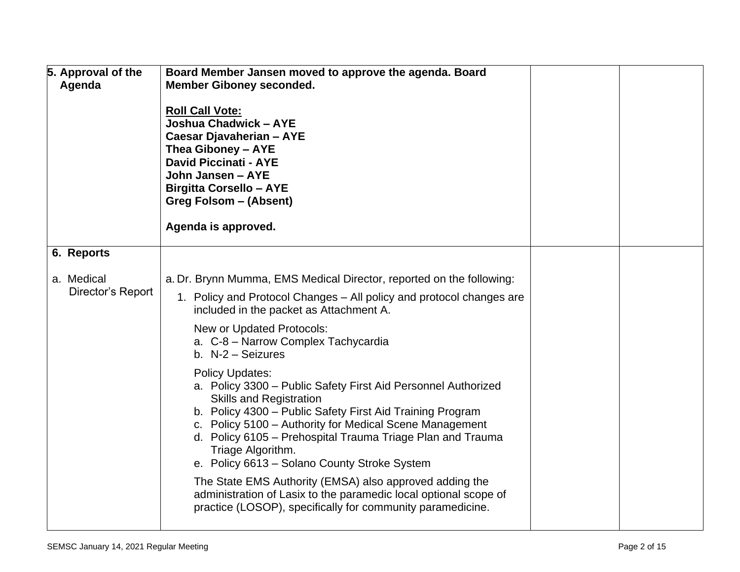| 5. Approval of the<br>Agenda    | Board Member Jansen moved to approve the agenda. Board<br><b>Member Giboney seconded.</b><br><b>Roll Call Vote:</b><br>Joshua Chadwick - AYE<br>Caesar Djavaherian - AYE<br>Thea Giboney - AYE<br><b>David Piccinati - AYE</b><br>John Jansen - AYE<br><b>Birgitta Corsello - AYE</b><br>Greg Folsom - (Absent)<br>Agenda is approved.                                                                                                                                                                                                                                                                                                                                   |  |
|---------------------------------|--------------------------------------------------------------------------------------------------------------------------------------------------------------------------------------------------------------------------------------------------------------------------------------------------------------------------------------------------------------------------------------------------------------------------------------------------------------------------------------------------------------------------------------------------------------------------------------------------------------------------------------------------------------------------|--|
| 6. Reports                      |                                                                                                                                                                                                                                                                                                                                                                                                                                                                                                                                                                                                                                                                          |  |
| a. Medical<br>Director's Report | a. Dr. Brynn Mumma, EMS Medical Director, reported on the following:<br>1. Policy and Protocol Changes – All policy and protocol changes are<br>included in the packet as Attachment A.<br>New or Updated Protocols:<br>a. C-8 - Narrow Complex Tachycardia<br>b. N-2 - Seizures<br><b>Policy Updates:</b><br>a. Policy 3300 - Public Safety First Aid Personnel Authorized<br><b>Skills and Registration</b><br>b. Policy 4300 - Public Safety First Aid Training Program<br>c. Policy 5100 - Authority for Medical Scene Management<br>d. Policy 6105 - Prehospital Trauma Triage Plan and Trauma<br>Triage Algorithm.<br>e. Policy 6613 - Solano County Stroke System |  |
|                                 | The State EMS Authority (EMSA) also approved adding the<br>administration of Lasix to the paramedic local optional scope of<br>practice (LOSOP), specifically for community paramedicine.                                                                                                                                                                                                                                                                                                                                                                                                                                                                                |  |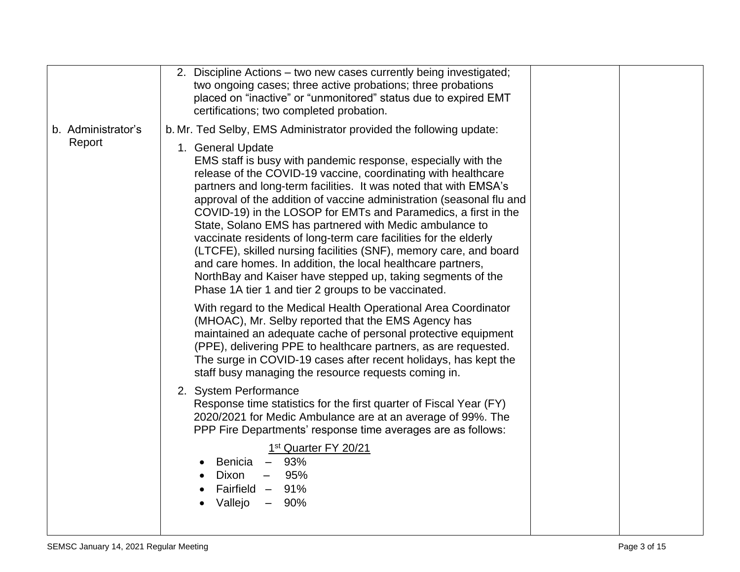|                    | 2. Discipline Actions – two new cases currently being investigated;<br>two ongoing cases; three active probations; three probations<br>placed on "inactive" or "unmonitored" status due to expired EMT<br>certifications; two completed probation.                                                                                                                                                                                                                                                                                                                                                                                                                                                                                                         |  |
|--------------------|------------------------------------------------------------------------------------------------------------------------------------------------------------------------------------------------------------------------------------------------------------------------------------------------------------------------------------------------------------------------------------------------------------------------------------------------------------------------------------------------------------------------------------------------------------------------------------------------------------------------------------------------------------------------------------------------------------------------------------------------------------|--|
| b. Administrator's | b. Mr. Ted Selby, EMS Administrator provided the following update:                                                                                                                                                                                                                                                                                                                                                                                                                                                                                                                                                                                                                                                                                         |  |
| Report             | 1. General Update<br>EMS staff is busy with pandemic response, especially with the<br>release of the COVID-19 vaccine, coordinating with healthcare<br>partners and long-term facilities. It was noted that with EMSA's<br>approval of the addition of vaccine administration (seasonal flu and<br>COVID-19) in the LOSOP for EMTs and Paramedics, a first in the<br>State, Solano EMS has partnered with Medic ambulance to<br>vaccinate residents of long-term care facilities for the elderly<br>(LTCFE), skilled nursing facilities (SNF), memory care, and board<br>and care homes. In addition, the local healthcare partners,<br>NorthBay and Kaiser have stepped up, taking segments of the<br>Phase 1A tier 1 and tier 2 groups to be vaccinated. |  |
|                    | With regard to the Medical Health Operational Area Coordinator<br>(MHOAC), Mr. Selby reported that the EMS Agency has<br>maintained an adequate cache of personal protective equipment<br>(PPE), delivering PPE to healthcare partners, as are requested.<br>The surge in COVID-19 cases after recent holidays, has kept the<br>staff busy managing the resource requests coming in.                                                                                                                                                                                                                                                                                                                                                                       |  |
|                    | 2. System Performance<br>Response time statistics for the first quarter of Fiscal Year (FY)<br>2020/2021 for Medic Ambulance are at an average of 99%. The<br>PPP Fire Departments' response time averages are as follows:                                                                                                                                                                                                                                                                                                                                                                                                                                                                                                                                 |  |
|                    | 1 <sup>st</sup> Quarter FY 20/21<br>Benicia - 93%<br>Dixon<br>95%<br>$\overline{\phantom{a}}$<br>Fairfield - 91%<br>Vallejo<br>- 90%                                                                                                                                                                                                                                                                                                                                                                                                                                                                                                                                                                                                                       |  |
|                    |                                                                                                                                                                                                                                                                                                                                                                                                                                                                                                                                                                                                                                                                                                                                                            |  |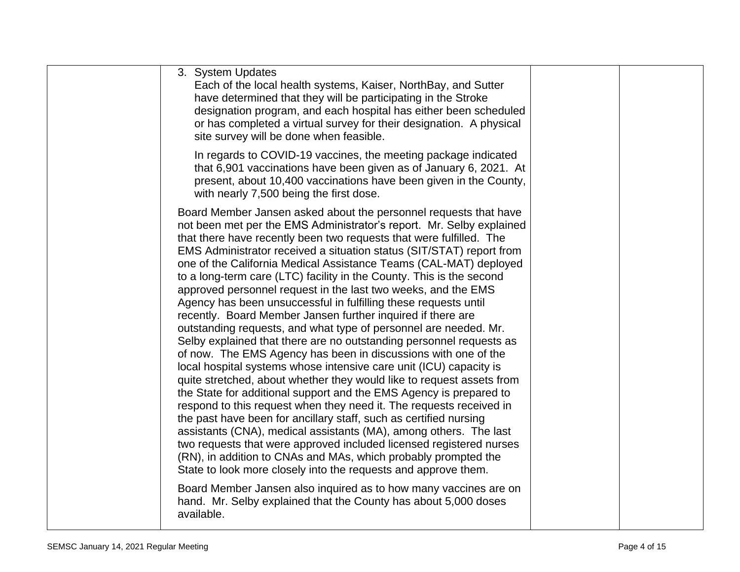| 3. System Updates<br>Each of the local health systems, Kaiser, NorthBay, and Sutter<br>have determined that they will be participating in the Stroke<br>designation program, and each hospital has either been scheduled<br>or has completed a virtual survey for their designation. A physical<br>site survey will be done when feasible.                                                                                                                                                                                                                                                                                                                                                                                                                                                                                                                                                                                                                                                                                                                                                                                                                                                                                                                                                                                                                                                                                                                                                            |  |
|-------------------------------------------------------------------------------------------------------------------------------------------------------------------------------------------------------------------------------------------------------------------------------------------------------------------------------------------------------------------------------------------------------------------------------------------------------------------------------------------------------------------------------------------------------------------------------------------------------------------------------------------------------------------------------------------------------------------------------------------------------------------------------------------------------------------------------------------------------------------------------------------------------------------------------------------------------------------------------------------------------------------------------------------------------------------------------------------------------------------------------------------------------------------------------------------------------------------------------------------------------------------------------------------------------------------------------------------------------------------------------------------------------------------------------------------------------------------------------------------------------|--|
| In regards to COVID-19 vaccines, the meeting package indicated<br>that 6,901 vaccinations have been given as of January 6, 2021. At<br>present, about 10,400 vaccinations have been given in the County,<br>with nearly 7,500 being the first dose.                                                                                                                                                                                                                                                                                                                                                                                                                                                                                                                                                                                                                                                                                                                                                                                                                                                                                                                                                                                                                                                                                                                                                                                                                                                   |  |
| Board Member Jansen asked about the personnel requests that have<br>not been met per the EMS Administrator's report. Mr. Selby explained<br>that there have recently been two requests that were fulfilled. The<br>EMS Administrator received a situation status (SIT/STAT) report from<br>one of the California Medical Assistance Teams (CAL-MAT) deployed<br>to a long-term care (LTC) facility in the County. This is the second<br>approved personnel request in the last two weeks, and the EMS<br>Agency has been unsuccessful in fulfilling these requests until<br>recently. Board Member Jansen further inquired if there are<br>outstanding requests, and what type of personnel are needed. Mr.<br>Selby explained that there are no outstanding personnel requests as<br>of now. The EMS Agency has been in discussions with one of the<br>local hospital systems whose intensive care unit (ICU) capacity is<br>quite stretched, about whether they would like to request assets from<br>the State for additional support and the EMS Agency is prepared to<br>respond to this request when they need it. The requests received in<br>the past have been for ancillary staff, such as certified nursing<br>assistants (CNA), medical assistants (MA), among others. The last<br>two requests that were approved included licensed registered nurses<br>(RN), in addition to CNAs and MAs, which probably prompted the<br>State to look more closely into the requests and approve them. |  |
| Board Member Jansen also inquired as to how many vaccines are on<br>hand. Mr. Selby explained that the County has about 5,000 doses<br>available.                                                                                                                                                                                                                                                                                                                                                                                                                                                                                                                                                                                                                                                                                                                                                                                                                                                                                                                                                                                                                                                                                                                                                                                                                                                                                                                                                     |  |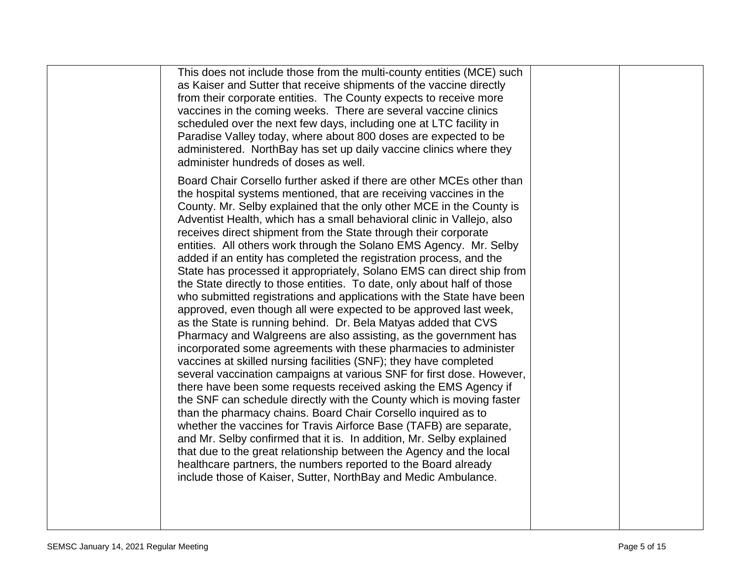|  | This does not include those from the multi-county entities (MCE) such<br>as Kaiser and Sutter that receive shipments of the vaccine directly<br>from their corporate entities. The County expects to receive more<br>vaccines in the coming weeks. There are several vaccine clinics<br>scheduled over the next few days, including one at LTC facility in<br>Paradise Valley today, where about 800 doses are expected to be<br>administered. NorthBay has set up daily vaccine clinics where they<br>administer hundreds of doses as well.                                                                                                                                                                                                                                                                                                                                                                                                                                                                                                                                                                                                                                                                                                                                                                                                                                                                                                                                                                                                                                                                                                                                                                                                |  |
|--|---------------------------------------------------------------------------------------------------------------------------------------------------------------------------------------------------------------------------------------------------------------------------------------------------------------------------------------------------------------------------------------------------------------------------------------------------------------------------------------------------------------------------------------------------------------------------------------------------------------------------------------------------------------------------------------------------------------------------------------------------------------------------------------------------------------------------------------------------------------------------------------------------------------------------------------------------------------------------------------------------------------------------------------------------------------------------------------------------------------------------------------------------------------------------------------------------------------------------------------------------------------------------------------------------------------------------------------------------------------------------------------------------------------------------------------------------------------------------------------------------------------------------------------------------------------------------------------------------------------------------------------------------------------------------------------------------------------------------------------------|--|
|  | Board Chair Corsello further asked if there are other MCEs other than<br>the hospital systems mentioned, that are receiving vaccines in the<br>County. Mr. Selby explained that the only other MCE in the County is<br>Adventist Health, which has a small behavioral clinic in Vallejo, also<br>receives direct shipment from the State through their corporate<br>entities. All others work through the Solano EMS Agency. Mr. Selby<br>added if an entity has completed the registration process, and the<br>State has processed it appropriately, Solano EMS can direct ship from<br>the State directly to those entities. To date, only about half of those<br>who submitted registrations and applications with the State have been<br>approved, even though all were expected to be approved last week,<br>as the State is running behind. Dr. Bela Matyas added that CVS<br>Pharmacy and Walgreens are also assisting, as the government has<br>incorporated some agreements with these pharmacies to administer<br>vaccines at skilled nursing facilities (SNF); they have completed<br>several vaccination campaigns at various SNF for first dose. However,<br>there have been some requests received asking the EMS Agency if<br>the SNF can schedule directly with the County which is moving faster<br>than the pharmacy chains. Board Chair Corsello inquired as to<br>whether the vaccines for Travis Airforce Base (TAFB) are separate,<br>and Mr. Selby confirmed that it is. In addition, Mr. Selby explained<br>that due to the great relationship between the Agency and the local<br>healthcare partners, the numbers reported to the Board already<br>include those of Kaiser, Sutter, NorthBay and Medic Ambulance. |  |
|  |                                                                                                                                                                                                                                                                                                                                                                                                                                                                                                                                                                                                                                                                                                                                                                                                                                                                                                                                                                                                                                                                                                                                                                                                                                                                                                                                                                                                                                                                                                                                                                                                                                                                                                                                             |  |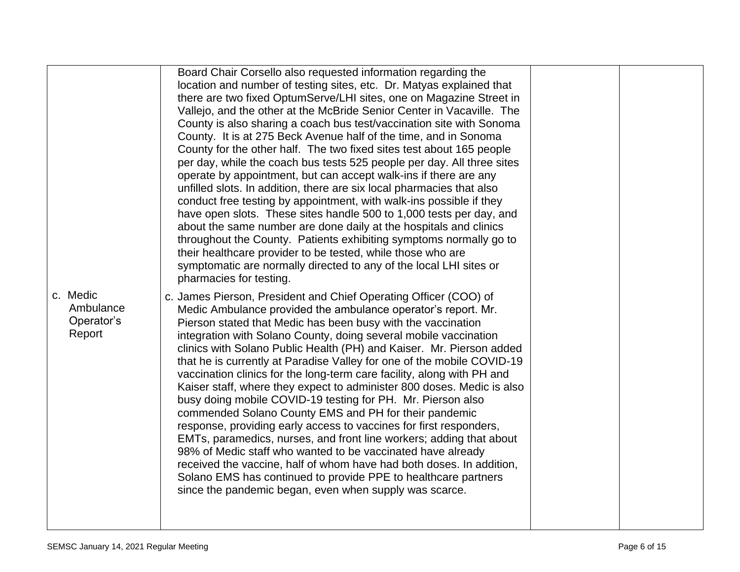|                                               | Board Chair Corsello also requested information regarding the<br>location and number of testing sites, etc. Dr. Matyas explained that<br>there are two fixed OptumServe/LHI sites, one on Magazine Street in<br>Vallejo, and the other at the McBride Senior Center in Vacaville. The<br>County is also sharing a coach bus test/vaccination site with Sonoma<br>County. It is at 275 Beck Avenue half of the time, and in Sonoma<br>County for the other half. The two fixed sites test about 165 people<br>per day, while the coach bus tests 525 people per day. All three sites<br>operate by appointment, but can accept walk-ins if there are any<br>unfilled slots. In addition, there are six local pharmacies that also<br>conduct free testing by appointment, with walk-ins possible if they<br>have open slots. These sites handle 500 to 1,000 tests per day, and<br>about the same number are done daily at the hospitals and clinics<br>throughout the County. Patients exhibiting symptoms normally go to<br>their healthcare provider to be tested, while those who are<br>symptomatic are normally directed to any of the local LHI sites or<br>pharmacies for testing. |  |
|-----------------------------------------------|-------------------------------------------------------------------------------------------------------------------------------------------------------------------------------------------------------------------------------------------------------------------------------------------------------------------------------------------------------------------------------------------------------------------------------------------------------------------------------------------------------------------------------------------------------------------------------------------------------------------------------------------------------------------------------------------------------------------------------------------------------------------------------------------------------------------------------------------------------------------------------------------------------------------------------------------------------------------------------------------------------------------------------------------------------------------------------------------------------------------------------------------------------------------------------------------|--|
| c. Medic<br>Ambulance<br>Operator's<br>Report | c. James Pierson, President and Chief Operating Officer (COO) of<br>Medic Ambulance provided the ambulance operator's report. Mr.<br>Pierson stated that Medic has been busy with the vaccination<br>integration with Solano County, doing several mobile vaccination<br>clinics with Solano Public Health (PH) and Kaiser. Mr. Pierson added<br>that he is currently at Paradise Valley for one of the mobile COVID-19<br>vaccination clinics for the long-term care facility, along with PH and<br>Kaiser staff, where they expect to administer 800 doses. Medic is also<br>busy doing mobile COVID-19 testing for PH. Mr. Pierson also<br>commended Solano County EMS and PH for their pandemic<br>response, providing early access to vaccines for first responders,<br>EMTs, paramedics, nurses, and front line workers; adding that about<br>98% of Medic staff who wanted to be vaccinated have already<br>received the vaccine, half of whom have had both doses. In addition,<br>Solano EMS has continued to provide PPE to healthcare partners<br>since the pandemic began, even when supply was scarce.                                                                       |  |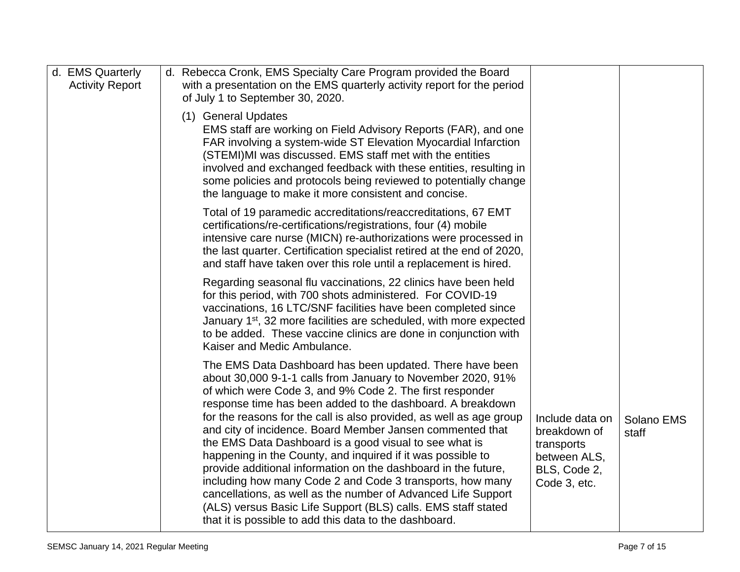| d. EMS Quarterly<br><b>Activity Report</b> | d. Rebecca Cronk, EMS Specialty Care Program provided the Board<br>with a presentation on the EMS quarterly activity report for the period<br>of July 1 to September 30, 2020.                                                                                                                                                                                                                                                                                                                                                                                                                                                                                                                                                                                                                                                                                                                                                                                    |
|--------------------------------------------|-------------------------------------------------------------------------------------------------------------------------------------------------------------------------------------------------------------------------------------------------------------------------------------------------------------------------------------------------------------------------------------------------------------------------------------------------------------------------------------------------------------------------------------------------------------------------------------------------------------------------------------------------------------------------------------------------------------------------------------------------------------------------------------------------------------------------------------------------------------------------------------------------------------------------------------------------------------------|
|                                            | (1) General Updates<br>EMS staff are working on Field Advisory Reports (FAR), and one<br>FAR involving a system-wide ST Elevation Myocardial Infarction<br>(STEMI)MI was discussed. EMS staff met with the entities<br>involved and exchanged feedback with these entities, resulting in<br>some policies and protocols being reviewed to potentially change<br>the language to make it more consistent and concise.                                                                                                                                                                                                                                                                                                                                                                                                                                                                                                                                              |
|                                            | Total of 19 paramedic accreditations/reaccreditations, 67 EMT<br>certifications/re-certifications/registrations, four (4) mobile<br>intensive care nurse (MICN) re-authorizations were processed in<br>the last quarter. Certification specialist retired at the end of 2020,<br>and staff have taken over this role until a replacement is hired.                                                                                                                                                                                                                                                                                                                                                                                                                                                                                                                                                                                                                |
|                                            | Regarding seasonal flu vaccinations, 22 clinics have been held<br>for this period, with 700 shots administered. For COVID-19<br>vaccinations, 16 LTC/SNF facilities have been completed since<br>January 1 <sup>st</sup> , 32 more facilities are scheduled, with more expected<br>to be added. These vaccine clinics are done in conjunction with<br>Kaiser and Medic Ambulance.                                                                                                                                                                                                                                                                                                                                                                                                                                                                                                                                                                                 |
|                                            | The EMS Data Dashboard has been updated. There have been<br>about 30,000 9-1-1 calls from January to November 2020, 91%<br>of which were Code 3, and 9% Code 2. The first responder<br>response time has been added to the dashboard. A breakdown<br>for the reasons for the call is also provided, as well as age group<br>Include data on<br>Solano EMS<br>and city of incidence. Board Member Jansen commented that<br>breakdown of<br>staff<br>the EMS Data Dashboard is a good visual to see what is<br>transports<br>happening in the County, and inquired if it was possible to<br>between ALS,<br>provide additional information on the dashboard in the future,<br>BLS, Code 2,<br>including how many Code 2 and Code 3 transports, how many<br>Code 3, etc.<br>cancellations, as well as the number of Advanced Life Support<br>(ALS) versus Basic Life Support (BLS) calls. EMS staff stated<br>that it is possible to add this data to the dashboard. |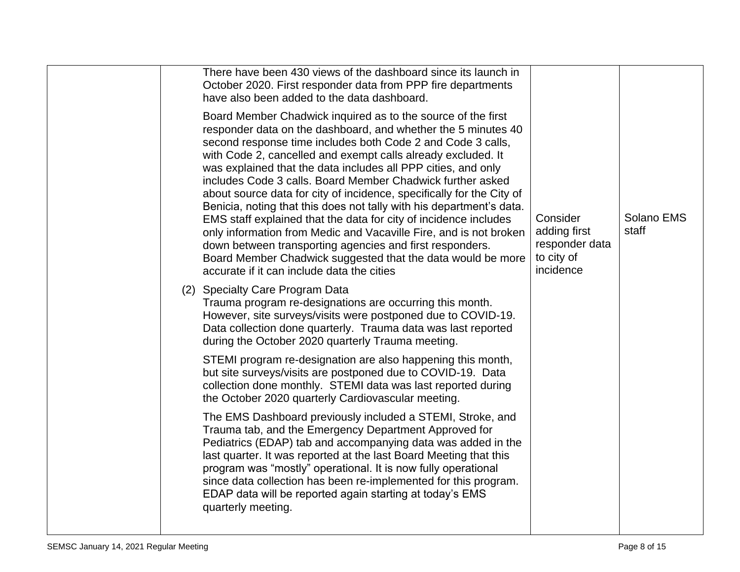| There have been 430 views of the dashboard since its launch in<br>October 2020. First responder data from PPP fire departments<br>have also been added to the data dashboard.                                                                                                                                                                                                                                                                                                                                                                                                                                                                                                                                                                                                                                                                                  |                                                                       |                     |
|----------------------------------------------------------------------------------------------------------------------------------------------------------------------------------------------------------------------------------------------------------------------------------------------------------------------------------------------------------------------------------------------------------------------------------------------------------------------------------------------------------------------------------------------------------------------------------------------------------------------------------------------------------------------------------------------------------------------------------------------------------------------------------------------------------------------------------------------------------------|-----------------------------------------------------------------------|---------------------|
| Board Member Chadwick inquired as to the source of the first<br>responder data on the dashboard, and whether the 5 minutes 40<br>second response time includes both Code 2 and Code 3 calls,<br>with Code 2, cancelled and exempt calls already excluded. It<br>was explained that the data includes all PPP cities, and only<br>includes Code 3 calls. Board Member Chadwick further asked<br>about source data for city of incidence, specifically for the City of<br>Benicia, noting that this does not tally with his department's data.<br>EMS staff explained that the data for city of incidence includes<br>only information from Medic and Vacaville Fire, and is not broken<br>down between transporting agencies and first responders.<br>Board Member Chadwick suggested that the data would be more<br>accurate if it can include data the cities | Consider<br>adding first<br>responder data<br>to city of<br>incidence | Solano EMS<br>staff |
| (2) Specialty Care Program Data<br>Trauma program re-designations are occurring this month.<br>However, site surveys/visits were postponed due to COVID-19.<br>Data collection done quarterly. Trauma data was last reported<br>during the October 2020 quarterly Trauma meeting.                                                                                                                                                                                                                                                                                                                                                                                                                                                                                                                                                                              |                                                                       |                     |
| STEMI program re-designation are also happening this month,<br>but site surveys/visits are postponed due to COVID-19. Data<br>collection done monthly. STEMI data was last reported during<br>the October 2020 quarterly Cardiovascular meeting.                                                                                                                                                                                                                                                                                                                                                                                                                                                                                                                                                                                                               |                                                                       |                     |
| The EMS Dashboard previously included a STEMI, Stroke, and<br>Trauma tab, and the Emergency Department Approved for<br>Pediatrics (EDAP) tab and accompanying data was added in the<br>last quarter. It was reported at the last Board Meeting that this<br>program was "mostly" operational. It is now fully operational<br>since data collection has been re-implemented for this program.<br>EDAP data will be reported again starting at today's EMS<br>quarterly meeting.                                                                                                                                                                                                                                                                                                                                                                                 |                                                                       |                     |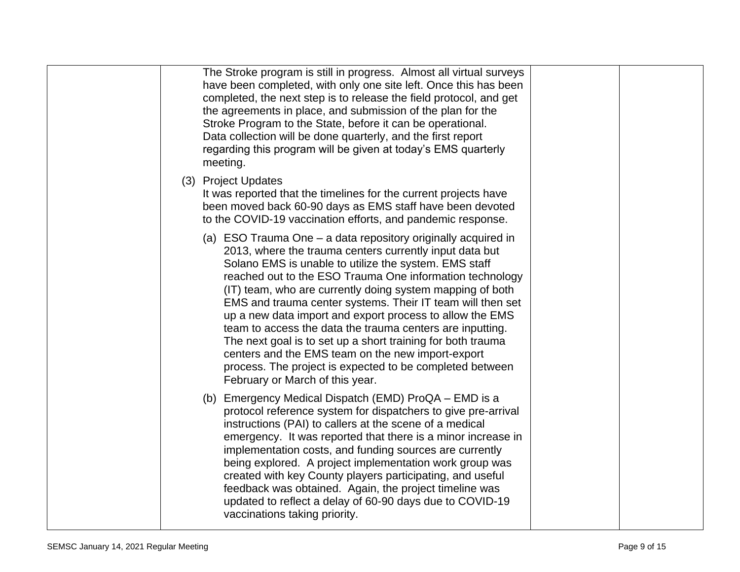| The Stroke program is still in progress. Almost all virtual surveys<br>have been completed, with only one site left. Once this has been<br>completed, the next step is to release the field protocol, and get<br>the agreements in place, and submission of the plan for the<br>Stroke Program to the State, before it can be operational.<br>Data collection will be done quarterly, and the first report<br>regarding this program will be given at today's EMS quarterly<br>meeting.                                                                                                                                                                                                                              |
|----------------------------------------------------------------------------------------------------------------------------------------------------------------------------------------------------------------------------------------------------------------------------------------------------------------------------------------------------------------------------------------------------------------------------------------------------------------------------------------------------------------------------------------------------------------------------------------------------------------------------------------------------------------------------------------------------------------------|
| <b>Project Updates</b><br>(3)<br>It was reported that the timelines for the current projects have<br>been moved back 60-90 days as EMS staff have been devoted<br>to the COVID-19 vaccination efforts, and pandemic response.                                                                                                                                                                                                                                                                                                                                                                                                                                                                                        |
| (a) ESO Trauma One – a data repository originally acquired in<br>2013, where the trauma centers currently input data but<br>Solano EMS is unable to utilize the system. EMS staff<br>reached out to the ESO Trauma One information technology<br>(IT) team, who are currently doing system mapping of both<br>EMS and trauma center systems. Their IT team will then set<br>up a new data import and export process to allow the EMS<br>team to access the data the trauma centers are inputting.<br>The next goal is to set up a short training for both trauma<br>centers and the EMS team on the new import-export<br>process. The project is expected to be completed between<br>February or March of this year. |
| Emergency Medical Dispatch (EMD) ProQA – EMD is a<br>(b)<br>protocol reference system for dispatchers to give pre-arrival<br>instructions (PAI) to callers at the scene of a medical<br>emergency. It was reported that there is a minor increase in<br>implementation costs, and funding sources are currently<br>being explored. A project implementation work group was<br>created with key County players participating, and useful<br>feedback was obtained. Again, the project timeline was<br>updated to reflect a delay of 60-90 days due to COVID-19<br>vaccinations taking priority.                                                                                                                       |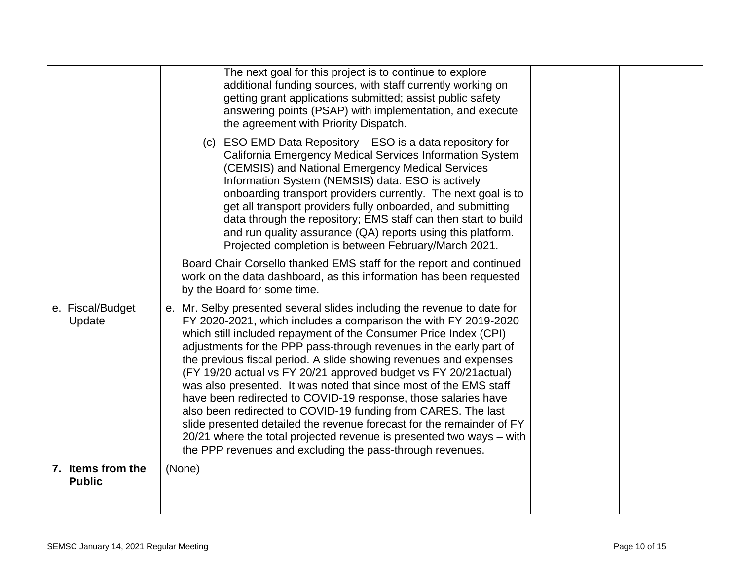|                                    | The next goal for this project is to continue to explore<br>additional funding sources, with staff currently working on<br>getting grant applications submitted; assist public safety<br>answering points (PSAP) with implementation, and execute<br>the agreement with Priority Dispatch.                                                                                                                                                                                                                                                                                                                                                                                                                                                                                                                                                          |  |
|------------------------------------|-----------------------------------------------------------------------------------------------------------------------------------------------------------------------------------------------------------------------------------------------------------------------------------------------------------------------------------------------------------------------------------------------------------------------------------------------------------------------------------------------------------------------------------------------------------------------------------------------------------------------------------------------------------------------------------------------------------------------------------------------------------------------------------------------------------------------------------------------------|--|
|                                    | (c) ESO EMD Data Repository - ESO is a data repository for<br>California Emergency Medical Services Information System<br>(CEMSIS) and National Emergency Medical Services<br>Information System (NEMSIS) data. ESO is actively<br>onboarding transport providers currently. The next goal is to<br>get all transport providers fully onboarded, and submitting<br>data through the repository; EMS staff can then start to build<br>and run quality assurance (QA) reports using this platform.<br>Projected completion is between February/March 2021.                                                                                                                                                                                                                                                                                            |  |
|                                    | Board Chair Corsello thanked EMS staff for the report and continued<br>work on the data dashboard, as this information has been requested<br>by the Board for some time.                                                                                                                                                                                                                                                                                                                                                                                                                                                                                                                                                                                                                                                                            |  |
| e. Fiscal/Budget<br>Update         | e. Mr. Selby presented several slides including the revenue to date for<br>FY 2020-2021, which includes a comparison the with FY 2019-2020<br>which still included repayment of the Consumer Price Index (CPI)<br>adjustments for the PPP pass-through revenues in the early part of<br>the previous fiscal period. A slide showing revenues and expenses<br>(FY 19/20 actual vs FY 20/21 approved budget vs FY 20/21 actual)<br>was also presented. It was noted that since most of the EMS staff<br>have been redirected to COVID-19 response, those salaries have<br>also been redirected to COVID-19 funding from CARES. The last<br>slide presented detailed the revenue forecast for the remainder of FY<br>20/21 where the total projected revenue is presented two ways - with<br>the PPP revenues and excluding the pass-through revenues. |  |
| 7. Items from the<br><b>Public</b> | (None)                                                                                                                                                                                                                                                                                                                                                                                                                                                                                                                                                                                                                                                                                                                                                                                                                                              |  |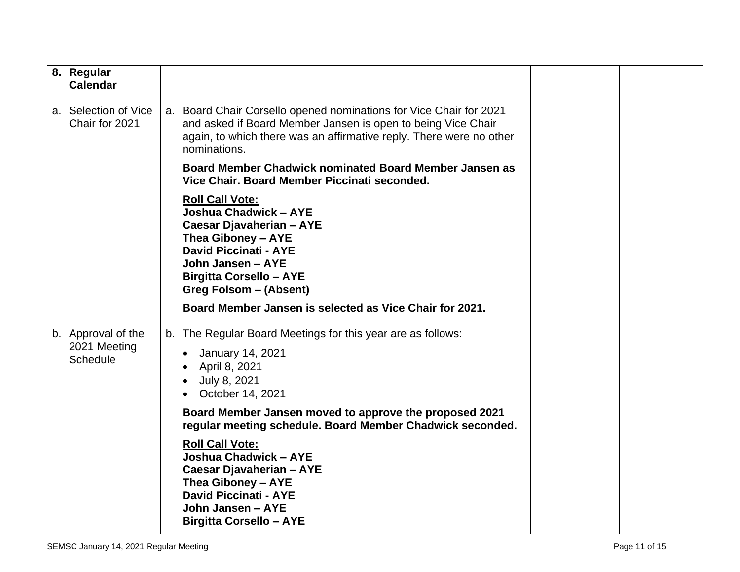| 8. Regular<br><b>Calendar</b>                         |                                                                                                                                                                                                                           |  |
|-------------------------------------------------------|---------------------------------------------------------------------------------------------------------------------------------------------------------------------------------------------------------------------------|--|
| a. Selection of Vice<br>Chair for 2021                | a. Board Chair Corsello opened nominations for Vice Chair for 2021<br>and asked if Board Member Jansen is open to being Vice Chair<br>again, to which there was an affirmative reply. There were no other<br>nominations. |  |
|                                                       | Board Member Chadwick nominated Board Member Jansen as<br>Vice Chair, Board Member Piccinati seconded.                                                                                                                    |  |
|                                                       | <b>Roll Call Vote:</b><br>Joshua Chadwick - AYE<br>Caesar Djavaherian - AYE<br>Thea Giboney - AYE<br><b>David Piccinati - AYE</b><br>John Jansen - AYE<br><b>Birgitta Corsello - AYE</b><br><b>Greg Folsom - (Absent)</b> |  |
|                                                       | Board Member Jansen is selected as Vice Chair for 2021.                                                                                                                                                                   |  |
| b. Approval of the<br>2021 Meeting<br><b>Schedule</b> | b. The Regular Board Meetings for this year are as follows:<br><b>January 14, 2021</b><br>April 8, 2021<br>July 8, 2021<br>October 14, 2021                                                                               |  |
|                                                       | Board Member Jansen moved to approve the proposed 2021<br>regular meeting schedule. Board Member Chadwick seconded.                                                                                                       |  |
|                                                       | <b>Roll Call Vote:</b><br><b>Joshua Chadwick - AYE</b><br>Caesar Djavaherian - AYE<br>Thea Giboney - AYE<br><b>David Piccinati - AYE</b><br>John Jansen - AYE<br><b>Birgitta Corsello - AYE</b>                           |  |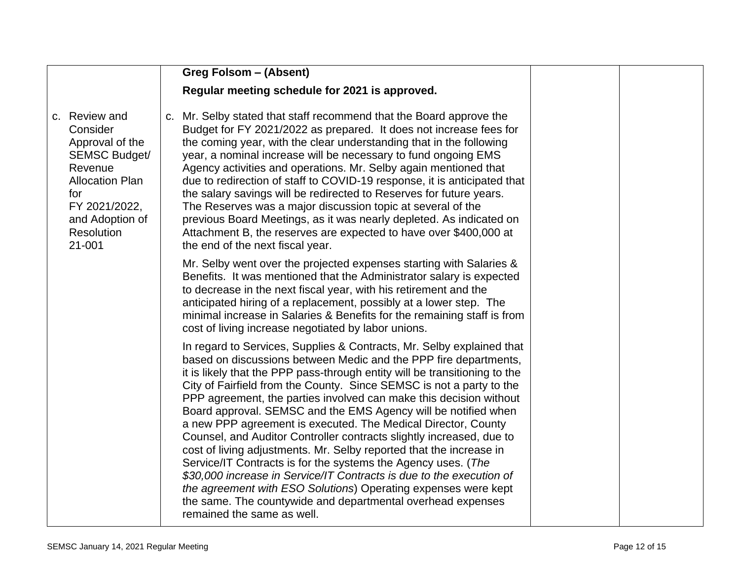|                                                                                                                                                                                     | <b>Greg Folsom - (Absent)</b>                                                                                                                                                                                                                                                                                                                                                                                                                                                                                                                                                                                                                                                                                                                                                                                                                                                                                                                                   |  |
|-------------------------------------------------------------------------------------------------------------------------------------------------------------------------------------|-----------------------------------------------------------------------------------------------------------------------------------------------------------------------------------------------------------------------------------------------------------------------------------------------------------------------------------------------------------------------------------------------------------------------------------------------------------------------------------------------------------------------------------------------------------------------------------------------------------------------------------------------------------------------------------------------------------------------------------------------------------------------------------------------------------------------------------------------------------------------------------------------------------------------------------------------------------------|--|
|                                                                                                                                                                                     | Regular meeting schedule for 2021 is approved.                                                                                                                                                                                                                                                                                                                                                                                                                                                                                                                                                                                                                                                                                                                                                                                                                                                                                                                  |  |
| c. Review and<br>Consider<br>Approval of the<br><b>SEMSC Budget/</b><br>Revenue<br><b>Allocation Plan</b><br>for<br>FY 2021/2022,<br>and Adoption of<br><b>Resolution</b><br>21-001 | c. Mr. Selby stated that staff recommend that the Board approve the<br>Budget for FY 2021/2022 as prepared. It does not increase fees for<br>the coming year, with the clear understanding that in the following<br>year, a nominal increase will be necessary to fund ongoing EMS<br>Agency activities and operations. Mr. Selby again mentioned that<br>due to redirection of staff to COVID-19 response, it is anticipated that<br>the salary savings will be redirected to Reserves for future years.<br>The Reserves was a major discussion topic at several of the<br>previous Board Meetings, as it was nearly depleted. As indicated on<br>Attachment B, the reserves are expected to have over \$400,000 at<br>the end of the next fiscal year.                                                                                                                                                                                                        |  |
|                                                                                                                                                                                     | Mr. Selby went over the projected expenses starting with Salaries &<br>Benefits. It was mentioned that the Administrator salary is expected<br>to decrease in the next fiscal year, with his retirement and the<br>anticipated hiring of a replacement, possibly at a lower step. The<br>minimal increase in Salaries & Benefits for the remaining staff is from<br>cost of living increase negotiated by labor unions.                                                                                                                                                                                                                                                                                                                                                                                                                                                                                                                                         |  |
|                                                                                                                                                                                     | In regard to Services, Supplies & Contracts, Mr. Selby explained that<br>based on discussions between Medic and the PPP fire departments,<br>it is likely that the PPP pass-through entity will be transitioning to the<br>City of Fairfield from the County. Since SEMSC is not a party to the<br>PPP agreement, the parties involved can make this decision without<br>Board approval. SEMSC and the EMS Agency will be notified when<br>a new PPP agreement is executed. The Medical Director, County<br>Counsel, and Auditor Controller contracts slightly increased, due to<br>cost of living adjustments. Mr. Selby reported that the increase in<br>Service/IT Contracts is for the systems the Agency uses. (The<br>\$30,000 increase in Service/IT Contracts is due to the execution of<br>the agreement with ESO Solutions) Operating expenses were kept<br>the same. The countywide and departmental overhead expenses<br>remained the same as well. |  |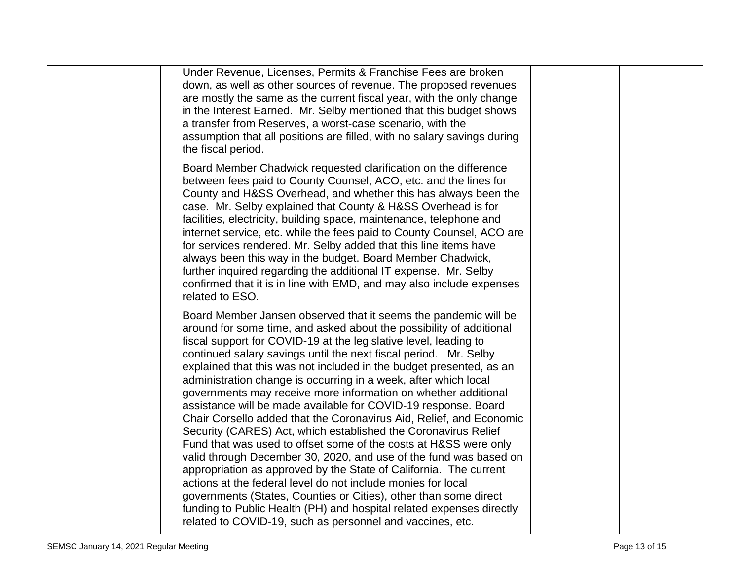| Under Revenue, Licenses, Permits & Franchise Fees are broken<br>down, as well as other sources of revenue. The proposed revenues<br>are mostly the same as the current fiscal year, with the only change<br>in the Interest Earned. Mr. Selby mentioned that this budget shows<br>a transfer from Reserves, a worst-case scenario, with the<br>assumption that all positions are filled, with no salary savings during<br>the fiscal period.                                                                                                                                                                                                                                                                                                                                                                                                                                                                                                                                                                                                                                                                                                                                                 |  |
|----------------------------------------------------------------------------------------------------------------------------------------------------------------------------------------------------------------------------------------------------------------------------------------------------------------------------------------------------------------------------------------------------------------------------------------------------------------------------------------------------------------------------------------------------------------------------------------------------------------------------------------------------------------------------------------------------------------------------------------------------------------------------------------------------------------------------------------------------------------------------------------------------------------------------------------------------------------------------------------------------------------------------------------------------------------------------------------------------------------------------------------------------------------------------------------------|--|
| Board Member Chadwick requested clarification on the difference<br>between fees paid to County Counsel, ACO, etc. and the lines for<br>County and H&SS Overhead, and whether this has always been the<br>case. Mr. Selby explained that County & H&SS Overhead is for<br>facilities, electricity, building space, maintenance, telephone and<br>internet service, etc. while the fees paid to County Counsel, ACO are<br>for services rendered. Mr. Selby added that this line items have<br>always been this way in the budget. Board Member Chadwick,<br>further inquired regarding the additional IT expense. Mr. Selby<br>confirmed that it is in line with EMD, and may also include expenses<br>related to ESO.                                                                                                                                                                                                                                                                                                                                                                                                                                                                        |  |
| Board Member Jansen observed that it seems the pandemic will be<br>around for some time, and asked about the possibility of additional<br>fiscal support for COVID-19 at the legislative level, leading to<br>continued salary savings until the next fiscal period. Mr. Selby<br>explained that this was not included in the budget presented, as an<br>administration change is occurring in a week, after which local<br>governments may receive more information on whether additional<br>assistance will be made available for COVID-19 response. Board<br>Chair Corsello added that the Coronavirus Aid, Relief, and Economic<br>Security (CARES) Act, which established the Coronavirus Relief<br>Fund that was used to offset some of the costs at H&SS were only<br>valid through December 30, 2020, and use of the fund was based on<br>appropriation as approved by the State of California. The current<br>actions at the federal level do not include monies for local<br>governments (States, Counties or Cities), other than some direct<br>funding to Public Health (PH) and hospital related expenses directly<br>related to COVID-19, such as personnel and vaccines, etc. |  |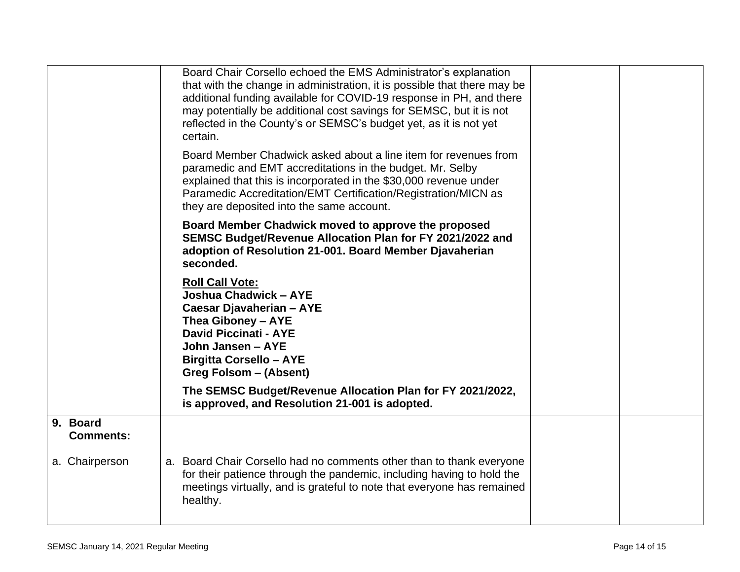|                              | Board Chair Corsello echoed the EMS Administrator's explanation<br>that with the change in administration, it is possible that there may be<br>additional funding available for COVID-19 response in PH, and there<br>may potentially be additional cost savings for SEMSC, but it is not<br>reflected in the County's or SEMSC's budget yet, as it is not yet<br>certain.<br>Board Member Chadwick asked about a line item for revenues from<br>paramedic and EMT accreditations in the budget. Mr. Selby<br>explained that this is incorporated in the \$30,000 revenue under<br>Paramedic Accreditation/EMT Certification/Registration/MICN as |  |
|------------------------------|---------------------------------------------------------------------------------------------------------------------------------------------------------------------------------------------------------------------------------------------------------------------------------------------------------------------------------------------------------------------------------------------------------------------------------------------------------------------------------------------------------------------------------------------------------------------------------------------------------------------------------------------------|--|
|                              | they are deposited into the same account.<br>Board Member Chadwick moved to approve the proposed<br>SEMSC Budget/Revenue Allocation Plan for FY 2021/2022 and<br>adoption of Resolution 21-001. Board Member Djavaherian<br>seconded.                                                                                                                                                                                                                                                                                                                                                                                                             |  |
|                              | <b>Roll Call Vote:</b><br>Joshua Chadwick - AYE<br>Caesar Djavaherian - AYE<br>Thea Giboney - AYE<br><b>David Piccinati - AYE</b><br>John Jansen - AYE<br><b>Birgitta Corsello - AYE</b><br>Greg Folsom - (Absent)                                                                                                                                                                                                                                                                                                                                                                                                                                |  |
|                              | The SEMSC Budget/Revenue Allocation Plan for FY 2021/2022,<br>is approved, and Resolution 21-001 is adopted.                                                                                                                                                                                                                                                                                                                                                                                                                                                                                                                                      |  |
| 9. Board<br><b>Comments:</b> |                                                                                                                                                                                                                                                                                                                                                                                                                                                                                                                                                                                                                                                   |  |
| a. Chairperson               | a. Board Chair Corsello had no comments other than to thank everyone<br>for their patience through the pandemic, including having to hold the<br>meetings virtually, and is grateful to note that everyone has remained<br>healthy.                                                                                                                                                                                                                                                                                                                                                                                                               |  |